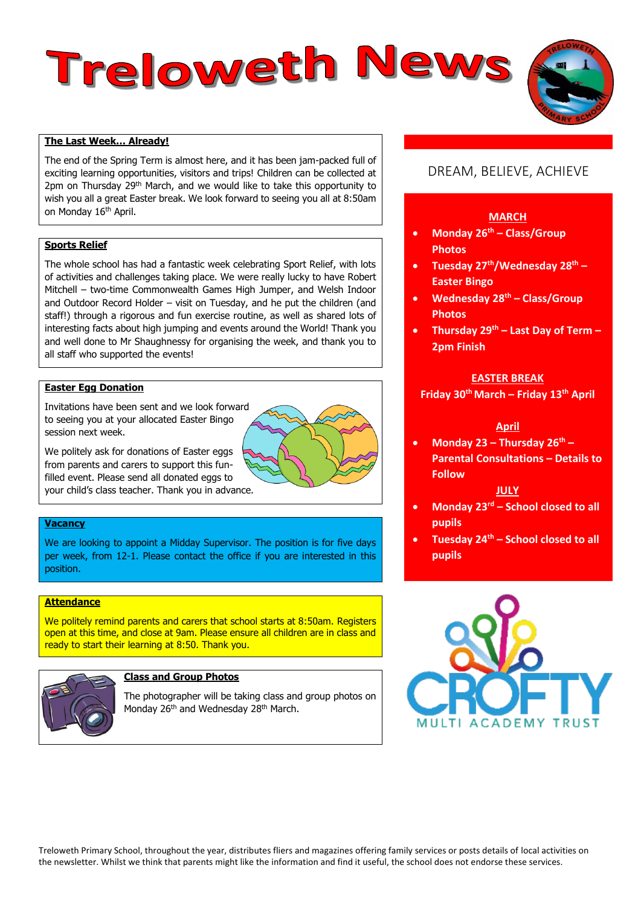# Treloweth News

# **The Last Week… Already!**

The end of the Spring Term is almost here, and it has been jam-packed full of exciting learning opportunities, visitors and trips! Children can be collected at 2pm on Thursday 29<sup>th</sup> March, and we would like to take this opportunity to wish you all a great Easter break. We look forward to seeing you all at 8:50am on Monday 16<sup>th</sup> April.

# **Sports Relief**

The whole school has had a fantastic week celebrating Sport Relief, with lots of activities and challenges taking place. We were really lucky to have Robert Mitchell – two-time Commonwealth Games High Jumper, and Welsh Indoor and Outdoor Record Holder – visit on Tuesday, and he put the children (and staff!) through a rigorous and fun exercise routine, as well as shared lots of interesting facts about high jumping and events around the World! Thank you and well done to Mr Shaughnessy for organising the week, and thank you to all staff who supported the events!

# **Easter Egg Donation**

Invitations have been sent and we look forwa[rd](https://www.google.co.uk/url?sa=i&rct=j&q=&esrc=s&source=images&cd=&cad=rja&uact=8&ved=2ahUKEwi63eSZtf3ZAhWFvxQKHUv3B7MQjRx6BAgAEAU&url=https://www.mycutegraphics.com/graphics/easter-egg-images.html&psig=AOvVaw2CW231UQAfv0LQHt6N2aUa&ust=1521721692895456)  to seeing you at your allocated Easter Bingo session next week.

We politely ask for donations of Easter eggs from parents and carers to support this funfilled event. Please send all donated eggs to your child's class teacher. Thank you in advance.

# **Vacancy**

We are looking to appoint a Midday Supervisor. The position is for five days per week, from 12-1. Please contact the office if you are interested in this position.

# **Attendance**

We politely remind parents and carers that school starts at 8:50am. Registers open at this time, and close at 9am. Please ensure all children are in class and ready to start their learning at 8:50. Thank you.



# **Class and Group Photos**

The photographer will be taking class and group photos on Monday 26<sup>th</sup> and Wednesday 28<sup>th</sup> March.

# DREAM, BELIEVE, ACHIEVE

# **MARCH**

- **Monday 26th – Class/Group Photos**
- **Tuesday 27th/Wednesday 28th – Easter Bingo**
- **Wednesday 28th – Class/Group Photos**
- **Thursday 29th – Last Day of Term – 2pm Finish**

#### **EASTER BREAK**

**Friday 30th March – Friday 13th April**

## **April**

 **Monday 23 – Thursday 26th – Parental Consultations – Details to Follow**

### **JULY**

- **Monday 23rd – School closed to all pupils**
- **Tuesday 24th – School closed to all pupils**